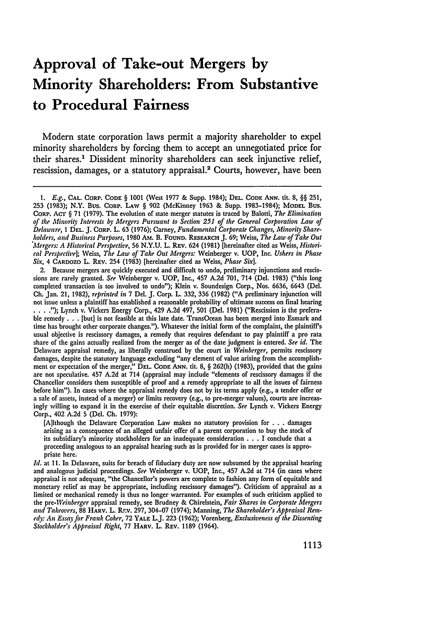# **Approval of Take-out Mergers by Minority Shareholders: From Substantive to Procedural Fairness**

Modern state corporation laws permit a majority shareholder to expel minority shareholders by forcing them to accept an unnegotiated price for their shares.' Dissident minority shareholders can seek injunctive relief, rescission, damages, or a statutory appraisal.<sup>2</sup> Courts, however, have been

2. Because mergers are quickly executed and difficult to undo, preliminary injunctions and rescissions are rarely granted. *See* Weinberger v. UOP, Inc., 457 A.2d 701, 714 (Del. 1983) ("this long completed transaction is too involved to undo"); Klein v. Soundesign Corp., Nos. 6636, 6643 (Del. **Ch.** Jan. 21, 1982), *reprinted in* 7 Del. J. Corp. L. **332, 336** (1982) ("A preliminary injunction will not issue unless a plaintiff has established a reasonable probability of ultimate success on final hearing **.... ");** Lynch v. Vickers Energy Corp., 429 A.2d 497, **501** (Del. 1981) ("Rescission is the preferable remedy **. .** . [but] is not feasible at this late date. TransOcean has been merged into Esmark and time has brought other corporate changes."). Whatever the initial form of the complaint, the plaintiff's usual objective is rescissory damages, a remedy that requires defendant to pay plaintiff a pro rata share of the gains actually realized from the merger as of the date judgment is entered. *See id.* The Delaware appraisal remedy, as liberally construed by the court in *Weinberger,* permits rescissory damages, despite the statutory language excluding "any element of value arising from the accomplishment or expectation of the merger," **DEL. CODE ANN.** tit. 8, § 262(h) (1983), provided that the gains are not speculative. 457 A.2d at 714 (appraisal may include "elements of rescissory damages if the Chancellor considers them susceptible of proof and a remedy appropriate to all the issues of fairness before him"). In cases where the appraisal remedy does not by its terms apply (e.g., a tender offer or a sale of assets, instead of a merger) or limits recovery (e.g., to pre-merger values), courts are increasingly willing to expand it in the exercise of their equitable discretion. *See* Lynch v. Vickers Energy Corp., 402 A.2d 5 (Del. **Ch.** 1979):

[A]though the Delaware Corporation Law makes no statutory provision for *.* **. .** damages arising as a consequence of an alleged unfair offer of a parent corporation to buy the stock of its subsidiary's minority stockholders for an inadequate consideration **. .** . I conclude that a proceeding analogous to an appraisal hearing such as is provided for in merger cases is appropriate here.

*Id.* at 11. In Delaware, suits for breach of fiduciary duty are now subsumed by the appraisal hearing and analogous judicial proceedings. *See* Weinberger v. UOP, Inc., 457 A.2d at 714 (in cases where appraisal is not adequate, "the Chancellor's powers are complete to fashion any form of equitable and monetary relief as may be appropriate, including rescissory damages"). Criticism of appraisal as a limited or mechanical remedy is thus no longer warranted. For examples of such criticism applied to the *pre-Weinberger* appraisal remedy, see Brudney & Chirelstein, *Fair Shares in Corporate Mergers* and Takeovers, 88 HARV. L. Rr.v. 297, 304-07 (1974); Manning, The Shareholder's Appraisal Rem*edy: An Essay for Frank Coker,* 72 YALE L.J. **223** (1962); Vorenberg, *Exclusiveness of the Dissenting Stockholder's Appraisal Right,* 77 HARV. L. REV. 1189 (1964).

*<sup>1.</sup> E.g.,* **CAL.** CORP. **CODE** § 1001 (West **1977 &** Supp. 1984); **DEL. CODE ANN. tit.** 8, §§ **251, 253** (1983); N.Y. Bus. **CORP. LAW** § **902** (McKinney 1963 **&** Supp. 1983-1984); **MODEL** Bus. CORP. ACT § 71 (1979). The evolution of state merger statutes is traced **by** Balotti, *The Elimination of the Minority Interests by Mergers Pursuant to Section 251 of the General Corporation Law of Delaware, I* **DEL.** J. CORP. L. **63** (1976); Carney, *Fundamental Corporate Changes, Minority Shareholders, and Business Purposes,* 1980 Am. B. FOUND. RESEARCH J. 69; Weiss, *The Law of Take Out Mergers: A Historical Perspective,* **56** N.Y.U. L. REV. 624 (1981) [hereinafter cited as Weiss, *Historical Perspective];* Weiss, *The Law of Take Out Mergers:* Weinberger v. **UOP,** Inc. *Ushers in Phase Six,* 4 **CARDOZO** L. REV. 254 (1983) [hereinafter cited as Weiss, *Phase Six].*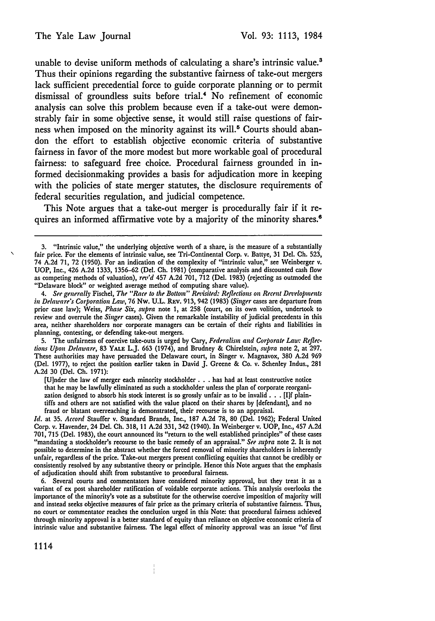unable to devise uniform methods of calculating a share's intrinsic value.<sup>3</sup> Thus their opinions regarding the substantive fairness of take-out mergers lack sufficient precedential force to guide corporate planning or to permit dismissal of groundless suits before trial.4 No refinement of economic analysis can solve this problem because even if a take-out were demonstrably fair in some objective sense, it would still raise questions of fairness when imposed on the minority against its will.<sup>5</sup> Courts should abandon the effort to establish objective economic criteria of substantive fairness in favor of the more modest but more workable goal of procedural fairness: to safeguard free choice. Procedural fairness grounded in informed decisionmaking provides a basis for adjudication more in keeping with the policies of state merger statutes, the disclosure requirements of federal securities regulation, and judicial competence.

This Note argues that a take-out merger is procedurally fair if it requires an informed affirmative vote by a majority of the minority shares.<sup>6</sup>

5. The unfairness of coercive take-outs is urged by Cary, *Federalism and Corporate Lau': Reflections Upon Delaware,* 83 **YALE** L.J. **663** (1974), and Brudney & Chirelstein, *supra* note 2, at 297. These authorities may have persuaded the Delaware court, in Singer v. Magnavox, **380 A.2d 969** (Del. 1977), to reject the position earlier taken in David J. Greene & Co. v. Schenley Indus., 281 A.2d 30 (Del. **Ch.** 1971):

[U]nder the law of merger each minority stockholder **. . .** has had at least constructive notice that he may be lawfully eliminated as such a stockholder unless the plan of corporate reorganization designed to absorb his stock interest is so grossly unfair as to **be** invalid. **.** .[I]f plaintiffs and others are not satisfied with the value placed on their shares by [defendant], and no fraud or blatant overreaching is demonstrated, their recourse is to an appraisal.

*Id.* at 35. *Accord* Stauffer v. Standard Brands, Inc., 187 **A.2d** 78, 80 (Del. 1962); Federal United Corp. v. Havender, 24 Del. **Ch.** 318, 11 **A.2d** 331, 342 (1940). In Weinberger v. **UOP,** Inc., 457 **A.2d** 701,715 (Del. 1983), the court announced its "return to the well established principles" of these cases "mandating a stockholder's recourse to the basic remedy of an appraisal." *See supra* note 2. It is not possible to determine in the abstract whether the forced removal of minority shareholders is inherently unfair, regardless of the price. Take-out mergers present conflicting equities that cannot be credibly or consistently resolved by any substantive theory or principle. Hence this Note argues that the emphasis of adjudication should shift from substantive to procedural fairness.

**6.** Several courts and commentators have considered minority approval, but they treat it as a variant of ex post shareholder ratification of voidable corporate actions. This analysis overlooks the importance of the minority's vote as a substitute for the otherwise coercive imposition of majority will and instead seeks objective measures of fair price as the primary criteria of substantive fairness. Thus, no court or commentator reaches the conclusion urged in this Note: that procedural fairness achieved through minority approval is a better standard of equity than reliance on objective economic criteria of intrinsic value and substantive fairness. The legal effect of minority approval was an issue "of first

1114

**<sup>3.</sup>** "Intrinsic value," the underlying objective worth of a share, is the measure of a substantially fair price. For the elements of intrinsic value, see Tri-Continental Corp. v. Battye, **31** Del. **Ch. 523,** 74 **A.2d 71, 72 (1950).** For an indication of the complexity of "intrinsic value," see Weinberger v. UOP, Inc., 426 A.2d 1333, 1356–62 (Del. Ch. 1981) (comparative analysis and discounted cash flow<br>as competing methods of valuation), 1ev'd 457 A.2d 701, 712 (Del. 1983) (rejecting as outmoded the "Delaware block" or weighted average method of computing share value).

*<sup>4.</sup> See generally* Fischel, *The "Race to the Bottom" Revisited: Reflections on Recent Developments in Delaware's Corporation Law,* 76 Nw. U.L. REv. 913, 942 (1983) *(Singer* cases are departure from prior case law); Weiss, *Phase Six, supra* note 1, at 258 (court, on its own volition, undertook to review and overrule the *Singer* cases). Given the remarkable instability of judicial precedents in this area, neither shareholders nor corporate managers can be certain of their rights and liabilities in planning, contesting, or defending take-out mergers.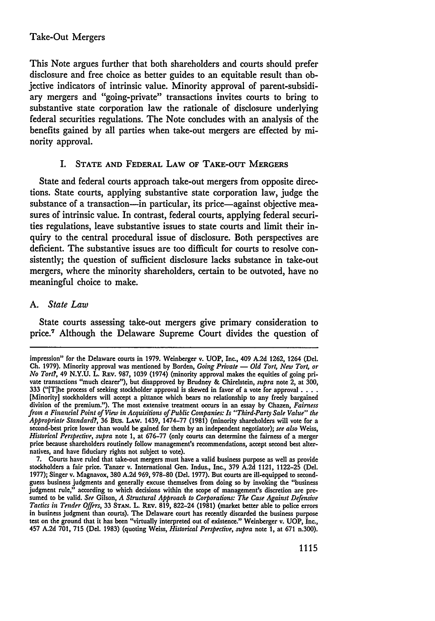## Take-Out Mergers

This Note argues further that both shareholders and courts should prefer disclosure and free choice as better guides to an equitable result than objective indicators of intrinsic value. Minority approval of parent-subsidiary mergers and "going-private" transactions invites courts to bring to substantive state corporation law the rationale of disclosure underlying federal securities regulations. The Note concludes with an analysis of the benefits gained **by** all parties when take-out mergers are effected **by** minority approval.

## I. **STATE AND FEDERAL LAW OF TAKE-OUT MERGERS**

State and federal courts approach take-out mergers from opposite directions. State courts, applying substantive state corporation law, judge the substance of a transaction-in particular, its price-against objective measures of intrinsic value. In contrast, federal courts, applying federal securities regulations, leave substantive issues to state courts and limit their inquiry to the central procedural issue of disclosure. Both perspectives are deficient. The substantive issues are too difficult for courts to resolve consistently; the question of sufficient disclosure lacks substance in take-out mergers, where the minority shareholders, certain to **be** outvoted, have no meaningful choice to make.

## *A. State Law*

State courts assessing take-out mergers give primary consideration to price.' Although the Delaware Supreme Court divides the question of

impression" for the Delaware courts in **1979.** Weinberger v. **UOP,** Inc., 409 **A.2d 1262,** 1264 (Del. Ch. 1979). Minority approval was mentioned by Borden, *Going Private* — Old Tort, New Tort, or *No Tort?,* 49 N.Y.U. L. **REv.** 987, 1039 (1974) (minority approval makes the equities of going private transactions "much clearer"), but disapproved **by** Brudney & Chirelstein, *supra* note 2, at 300, 333 ("[Tlhe process of seeking stockholder approval is skewed in favor of a vote for approval **....** [Minority] stockholders will accept a pittance which bears no relationship to any freely bargained division of the premium."). The most extensive treatment occurs in an essay by Chazen, *Fairness from a Financial Point of View in Acquisitions of Public Companies: Is "Third-Party Sale Value" the Appropriate Standard?,* 36 Bus. **LAw.** 1439, 1474-77 (1981) (minority shareholders will vote for a second-best price lower than would be gained for them **by** an independent negotiator); *see also* Weiss, *Historical Perspective, supra* note 1, at 676-77 (only courts can determine the fairness of a merger price because shareholders routinely follow management's recommendations, accept second best alternatives, and have fiduciary rights not subject to vote).

<sup>7.</sup> Courts have ruled that take-out mergers must have a valid business purpose as well as provide stockholders a fair price. Tanzer v. International Gen. Indus., Inc., 379 A.2d 1121, 1122-25 (Del. 1977); Singer v. Magnavox, 380 A.2d 969, 978-80 (Del. 1977). But courts are ill-equipped to secondguess business judgments and generally excuse themselves from doing so **by** invoking the "business judgment rule," according to which decisions within the scope of management's discretion are presumed to be valid. *See* Gilson, *A Structural Approach to Corporations: The Case Against Defensive Tactics in Tender Offers,* **33 STAN.** L. REv. 819, 822-24 (1981) (market better able to police errors in business judgment than courts). The Delaware court has recently discarded the business purpose test on the ground that it has been "virtually interpreted out of existence." Weinberger v. **UOP,** Inc., 457 A.2d **701, 715 (Del.** 1983) (quoting Weiss, *Historical Perspective, supra* note 1, at 671 n.300).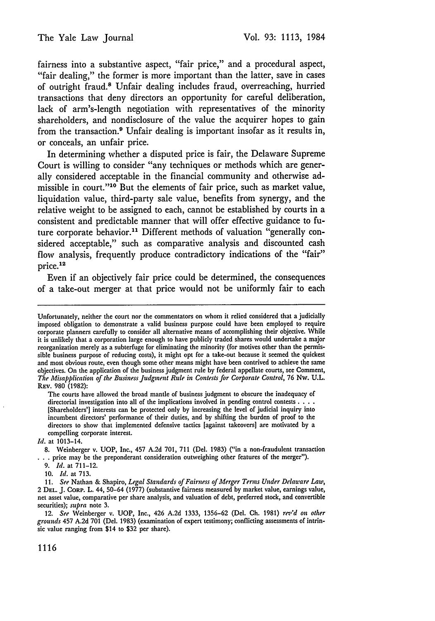fairness into a substantive aspect, "fair price," and a procedural aspect, "fair dealing," the former is more important than the latter, save in cases of outright fraud.8 Unfair dealing includes fraud, overreaching, hurried transactions that deny directors an opportunity for careful deliberation, lack of arm's-length negotiation with representatives of the minority shareholders, and nondisclosure of the value the acquirer hopes to gain from the transaction.<sup>9</sup> Unfair dealing is important insofar as it results in, or conceals, an unfair price.

In determining whether a disputed price is fair, the Delaware Supreme Court is willing to consider "any techniques or methods which are generally considered acceptable in the financial community and otherwise admissible in court."10 But the elements of fair price, such as market value, liquidation value, third-party sale value, benefits from synergy, and the relative weight to be assigned to each, cannot be established by courts in a consistent and predictable manner that will offer effective guidance to future corporate behavior.<sup>11</sup> Different methods of valuation "generally considered acceptable," such as comparative analysis and discounted cash flow analysis, frequently produce contradictory indications of the "fair" price.<sup>12</sup>

Even if an objectively fair price could be determined, the consequences of a take-out merger at that price would not be uniformly fair to each

The courts have allowed the broad mantle of business judgment to obscure the inadequacy of directorial investigation into all of the implications involved in pending control contests **....** [Shareholders'] interests can be protected only by increasing the level of judicial inquiry into incumbent directors' performance of their duties, and by shifting the burden of proof to the directors to show that implemented defensive tactics [against takeovers] are motivated by a compelling corporate interest.

*Id.* at 1013-14.

8. Weinberger v. UOP, Inc., 457 A.2d 701, 711 (Del. 1983) ("in a non-fraudulent transaction ... price may be the preponderant consideration outweighing other features of the merger").

9. *Id.* at 711-12.

10. *Id.* at 713.

**11.** *See* Nathan & Shapiro, *Legal Standards of Fairness of Merger Tenns Under Delaware* Law, 2 **DEL. J. CORP.** L. 44, 50-64 **(1977)** (substantive fairness measured by market value, earnings value, net asset value, comparative per share analysis, and valuation of debt, preferred stock, and convertible securities); *supra* note **3.**

12. *See* Weinberger v. **UOP,** Inc., 426 **A.2d 1333, 1356-62** (Del. **Ch. 1981)** rev'd *on other grounds* 457 **A.2d 701** (Del. **1983)** (examination of expert testimony; conflicting assessments of intrinsic value ranging from \$14 to **\$32** per share).

1116

Unfortunately, neither the court nor the commentators on whom it relied considered that a judicially imposed obligation to demonstrate a valid business purpose could have been employed to require corporate planners carefully to consider all alternative means of accomplishing their objective. While it is unlikely that a corporation large enough to have publicly traded shares would undertake a major reorganization merely as a subterfuge for eliminating the minority (for motives other than the permissible business purpose of reducing costs), it might opt for a take-out because it seemed the quickest and most obvious route, even though some other means might have been contrived to achieve the same objectives. On the application of the business judgment rule by federal appellate courts, see Comment, *The Misapplication of the Business Judgment Rule in Contests for Corporate Control,* 76 Nw. U.L. REv. 980 (1982):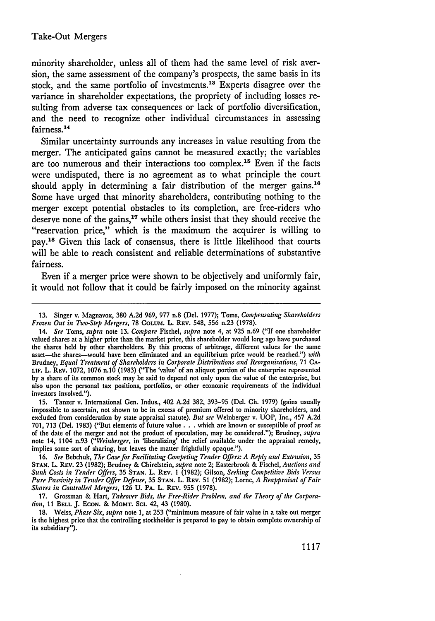minority shareholder, unless all of them had the same level of risk aversion, the same assessment of the company's prospects, the same basis in its stock, and the same portfolio of investments. 13 Experts disagree over the variance in shareholder expectations, the propriety of including losses resulting from adverse tax consequences or lack of portfolio diversification, and the need to recognize other individual circumstances in assessing fairness.<sup>14</sup>

Similar uncertainty surrounds any increases in value resulting from the merger. The anticipated gains cannot be measured exactly; the variables are too numerous and their interactions too complex.<sup>15</sup> Even if the facts were undisputed, there is no agreement as to what principle the court should apply in determining a fair distribution of the merger gains.<sup>16</sup> Some have urged that minority shareholders, contributing nothing to the merger except potential obstacles to its completion, are free-riders who deserve none of the gains,<sup>17</sup> while others insist that they should receive the "reservation price," which is the maximum the acquirer is willing to pay.1" Given this lack of consensus, there is little likelihood that courts will be able to reach consistent and reliable determinations of substantive fairness.

Even if a merger price were shown to be objectively and uniformly fair, it would not follow that it could be fairly imposed on the minority against

15. Tanzer v. International Gen. Indus., 402 A.2d 382, 393-95 (Del. *Ch.* 1979) (gains usually impossible to ascertain, not shown to be in excess of premium offered to minority shareholders, and excluded from consideration by state appraisal statute). *But see* Weinberger v. UOP, Inc., 457 A.2d 701, 713 (Del. 1983) ("But elements of future value. **. .** which are known or susceptible of proof as **of** the date of the merger and not the product of speculation, may be considered."); Brudney, *supra* note 14, 1104 n.93 *("Weinberger,* in 'liberalizing' the relief available under the appraisal remedy, implies some sort of sharing, but leaves the matter frightfully opaque.").

16. *See* Bebchuk, *The Case for Facilitating Competing Tender Offers: A Reply and Extension,* <sup>35</sup> **STAN.** L. REV. 23 (1982); Brudney & Chirelstein, *supra* note 2; Easterbrook & Fischel, *Auctions and Sunk Costs in Tender Offers,* 35 **STAN.** L. **REV.** 1 (1982); Gilson, *Seeking Competitive Bids Versus Pure Passiz'itV in Tender Offer Defense,* 35 **STAN.** L. REV. 51 (1982); Lorne, *A Reappraisal of Fair Shares in Controlled Mergers,* **126** U. PA. L. REV. 955 (1978).

17. Grossman & Hart, *Takeover Bids, the Free-Rider Problem, and the Theory of the Corporalion,* 11 **BELL** J. **ECON.** & MGMT. **SC.** 42, 43 **(1980).**

18. Weiss, *Phase Six, supra* note 1, at 253 ("minimum measure of fair value in a take out merger is the highest price that the controlling stockholder is prepared to pay to obtain complete ownership of its subsidiary").

<sup>13.</sup> Singer v. Magnavox, **380** A.2d 969, 977 n.8 (Del. 1977); Toms, *Compensating Shareholders Frozen Out in Two-Step Mergers,* 78 **COLUM.** L. REV. 548, 556 n.23 **(1978).**

<sup>14.</sup> *See* Toms, *supra* note 13. *Compare* Fischel, *supra* note 4, at 925 n.69 ("If one shareholder valued shares at a higher price than the market price, this shareholder would long ago have purchased the shares held by other shareholders. By this process of arbitrage, different values for the same asset-the shares-would have been eliminated and an equilibrium price would be reached.") *with* Brudney, *Equal Treatment of Shareholders in Corporate Distributions and Reorganizations,* 71 **CA-**LiF. L. REV. 1072, 1076 n.10 (1983) ("The 'value' of an aliquot portion of the enterprise represented by a share of its common stock may be said to depend not only upon the value of the enterprise, but also upon the personal tax positions, portfolios, or other economic requirements of the individual investors involved.").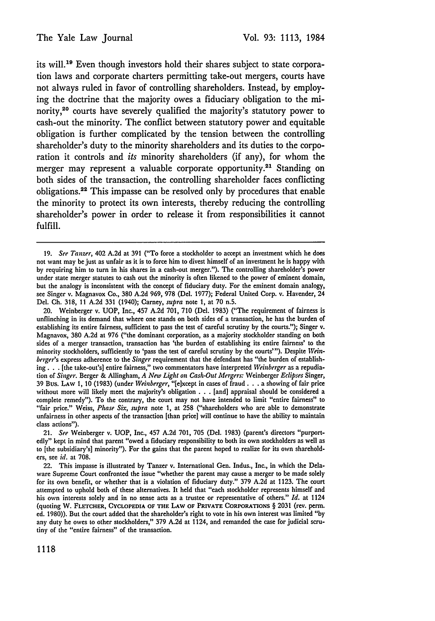its will.<sup>19</sup> Even though investors hold their shares subject to state corporation laws and corporate charters permitting take-out mergers, courts have not always ruled in favor of controlling shareholders. Instead, by employing the doctrine that the majority owes a fiduciary obligation to the minority,<sup>20</sup> courts have severely qualified the majority's statutory power to cash-out the minority. The conflict between statutory power and equitable obligation is further complicated by the tension between the controlling shareholder's duty to the minority shareholders and its duties to the corporation it controls and *its* minority shareholders (if any), for whom the merger may represent a valuable corporate opportunity.<sup>21</sup> Standing on both sides of the transaction, the controlling shareholder faces conflicting obligations.22 This impasse can be resolved only by procedures that enable the minority to protect its own interests, thereby reducing the controlling shareholder's power in order to release it from responsibilities it cannot fulfill.

20. Weinberger v. **UOP,** Inc., 457 **A.2d 701, 710** (Del. **1983)** ("The requirement of fairness is unflinching **in** its demand that where one stands on both sides of a transaction, he has the burden of establishing its entire fairness, sufficient to pass the test of careful scrutiny **by** the courts."); Singer v. Magnavox, **380 A.2d** at **976** ("the dominant corporation, as a majority stockholder standing on both sides of a merger transaction, transaction has 'the burden of establishing its entire fairness' to the minority stockholders, sufficiently to 'pass the test of careful scrutiny by the courts"'). Despite *Weinberger's* express adherence to the *Singer* requirement that the defendant has "the burden of establishing. **.** . [the take-out's] entire fairness," two commentators have interpreted *Weinberger* as a repudiation of *Singer.* Berger & Allingham, *A New Light on Cash-Out Mergers:* Weinberger *Eclipses* Singer, 39 Bus. LAw **1,** 10 (1983) (under *Weinberger,* "[except in cases of fraud. **. .** a showing of fair price without more will likely meet the majority's obligation **. .** . [and] appraisal should be considered a complete remedy"). To the contrary, the court may not have intended to limit "entire fairness" to "fair price." Weiss, *Phase Six, supra* note 1, at 258 ("shareholders who are able to demonstrate unfairness in other aspects of the transaction [than price] will continue to have the ability to maintain class actions").

21. *See* Weinberger v. UOP, Inc., 457 A.2d 701, **705** (Del. 1983) (parent's directors "purportedly" kept in mind that parent "owed a fiduciary responsibility to both its own stockholders as well as to [the subsidiary's] minority"). For the gains that the parent hoped to realize for its own shareholders, see *id.* at 708.

22. This impasse is illustrated by Tanzer v. International Gen. Indus., Inc., in which the Delaware Supreme Court confronted the issue "whether the parent may cause a merger to be made solely for its own benefit, or whether that is a violation of fiduciary duty." 379 A.2d at 1123. The court attempted to uphold both of these alternatives. It held that "each stockholder represents himself and his own interests solely and in no sense acts as a trustee or representative of others." *Id.* at 1124 (quoting W. FLETCHER, **CYCLOPEDIA OF THE** LAW **OF PRIVATE** CORPORATIONS § 2031 (rev. perm. ed. 1980)). But the court added that the shareholder's right to vote in his own interest was limited "by any duty he owes to other stockholders," 379 A.2d at 1124, and remanded the case for judicial scrutiny of the "entire fairness" of the transaction.

**<sup>19.</sup>** *See Tanzer,* 402 **A.2d** at **391** ("To force a stockholder to accept an investment which he does not want may be just as unfair as it is to force him to divest himself of an investment he is happy with by requiring him to turn in his shares in a cash-out merger."). The controlling shareholder's power under state merger statutes to cash out the minority is often likened to the power of eminent domain, but the analogy is inconsistent with the concept of fiduciary duty. For the eminent domain analogy, see Singer v. Magnavox Co., **380 A.2d 969, 978** (Del. **1977);** Federal United Corp. v. Havender, 24 Del. **Ch. 318, 11 A.2d 331** (1940); Carney, *supra* note **1,** at **70** n.5.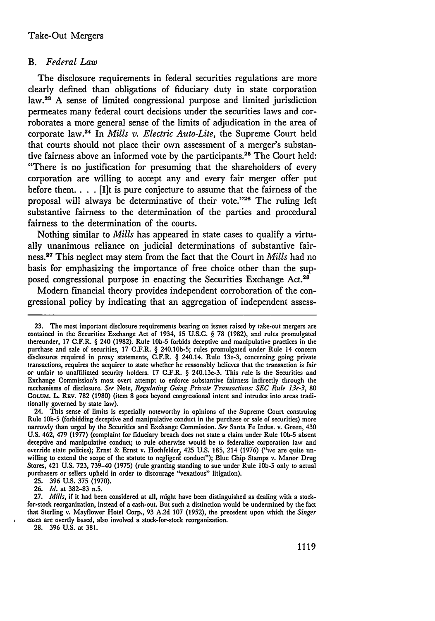#### *B. Federal Law*

The disclosure requirements in federal securities regulations are more clearly defined than obligations of fiduciary duty in state corporation law.<sup>23</sup> A sense of limited congressional purpose and limited jurisdiction permeates many federal court decisions under the securities laws and corroborates a more general sense of the limits of adjudication in the area of corporate law.24 In *Mills v. Electric Auto-Lite,* the Supreme Court held that courts should not place their own assessment of a merger's substantive fairness above an informed vote by the participants.2" The Court held: "There is no justification for presuming that the shareholders of every corporation are willing to accept any and every fair merger offer put before them. . **.** . [I]t is pure conjecture to assume that the fairness of the proposal will always be determinative of their vote."26 The ruling left substantive fairness to the determination of the parties and procedural fairness to the determination of the courts.

Nothing similar to *Mills* has appeared in state cases to qualify a virtually unanimous reliance on judicial determinations of substantive fairness.27 This neglect may stem from the fact that the Court in *Mills* had no basis for emphasizing the importance of free choice other than the supposed congressional purpose in enacting the Securities Exchange Act.<sup>28</sup>

Modern financial theory provides independent corroboration of the congressional policy by indicating that an aggregation of independent assess-

**25.** 396 U.S. 375 (1970).

**26.** *Id.* at **382-83** n.5.

**28.** 396 U.S. at 381.

**<sup>23.</sup>** The most important disclosure requirements bearing on issues raised **by** take-out mergers are contained in the Securities Exchange Act of 1934, 15 U.S.C. § 78 (1982), and rules promulgated thereunder, 17 C.F.R. § 240 (1982). Rule **10b-5** forbids deceptive and manipulative practices in the purchase and sale of securities, 17 C.F.R. § 240.10b-5; rules promulgated under Rule 14 concern disclosures required in proxy statements, C.F.R. § 240.14. Rule 13e-3, concerning going private transactions, requires the acquirer to state whether he reasonably believes that the transaction is fair or unfair to unaffiliated security holders. 17 C.F.R. § 240.13e-3. This rule is the Securities and Exchange Commission's most overt attempt to enforce substantive fairness indirectly through the mechanisms of disclosure. *See* Note, *Regulating Going Private Transactions: SEC Rule 13e-3,* **80 COLUM.** L. REV. **782** (1980) (item **8** goes beyond congressional intent and intrudes into areas traditionally governed by state law).

<sup>24.</sup> This sense of limits is especially noteworthy in opinions of the Supreme Court construing Rule **lob-5** (forbidding deceptive and manipulative conduct in the purchase or sale of securities) more narrowly than urged by the Securities and Exchange Commission. *See* Santa Fe Indus. v. Green, 430 U.S. 462, 479 (1977) (complaint for fiduciary breach does not state a claim under Rule **10b-5** absent deceptive and manipulative conduct; to rule otherwise would be to federalize corporation law and override state policies); Ernst & Ernst v. Hochfelder, 425 U.S. 185, 214 (1976) ("we are quite unwilling to extend the scope of the statute to negligent conduct"); Blue Chip Stamps v. Manor Drug Stores, 421 U.S. 723, 739-40 (1975) (rule granting standing to sue under Rule **lob-5** only to actual purchasers or sellers upheld in order to discourage "vexatious" litigation).

**<sup>27.</sup>** *Mills,* if it had been considered at all, might have been distinguished as dealing with a stockfor-stock reorganization, instead of a cash-out. But such a distinction would be undermined by the fact that Sterling v. Mayflower Hotel Corp., 93 A.2d 107 (1952), the precedent upon which the *Singer* cases are overtly based, also involved a stock-for-stock reorganization.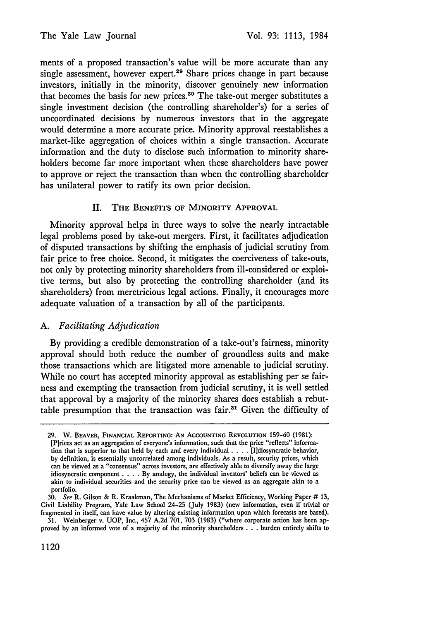ments of a proposed transaction's value will be more accurate than any single assessment, however expert.<sup>29</sup> Share prices change in part because investors, initially in the minority, discover genuinely new information that becomes the basis for new prices.<sup>30</sup> The take-out merger substitutes a single investment decision (the controlling shareholder's) for a series of uncoordinated decisions by numerous investors that in the aggregate would determine a more accurate price. Minority approval reestablishes a market-like aggregation of choices within a single transaction. Accurate information and the duty to disclose such information to minority shareholders become far more important when these shareholders have power to approve or reject the transaction than when the controlling shareholder has unilateral power to ratify its own prior decision.

## II. THE BENEFITS **OF** MINORITY APPROVAL

Minority approval helps in three ways to solve the nearly intractable legal problems posed by take-out mergers. First, it facilitates adjudication of disputed transactions by shifting the emphasis of judicial scrutiny from fair price to free choice. Second, it mitigates the coerciveness of take-outs, not only by protecting minority shareholders from ill-considered or exploitive terms, but also by protecting the controlling shareholder (and its shareholders) from meretricious legal actions. Finally, it encourages more adequate valuation of a transaction by all of the participants.

## *A. Facilitating Adjudication*

By providing a credible demonstration of a take-out's fairness, minority approval should both reduce the number of groundless suits and make those transactions which are litigated more amenable to judicial scrutiny. While no court has accepted minority approval as establishing per se fairness and exempting the transaction from judicial scrutiny, it is well settled that approval by a majority of the minority shares does establish a rebuttable presumption that the transaction was fair.<sup>31</sup> Given the difficulty of

1120

**<sup>29.</sup>** W. BEAVER, **FINANCIAL** REPORTING: **AN ACCOUNTING** REVOLUTION 159-60 (1981): [P]rices act as an aggregation of everyone's information, such that the price "reflects" information that is superior to that held **by** each and every individual .... [I]diosyncratic behavior, by definition, is essentially uncorrelated among individuals. As a result, security prices, which can be viewed as a "consensus" across investors, are effectively able to diversify away the large idiosyncratic component .**. .** .**By** analogy, the individual investors' beliefs can be viewed as akin to individual securities and the security price can be viewed as an aggregate akin to a portfolio.

*<sup>30.</sup>* **See** R. Gilson & R. Kraakman, The Mechanisms of Market Efficiency, Working Paper # 13, Civil Liability Program, Yale Law School 24-25 (July 1983) (new information, even if trivial or fragmented in itself, can have value by altering existing information upon which forecasts are based).

<sup>31.</sup> Weinberger v. UOP, Inc., 457 **A.2d 701, 703** (1983) ("where corporate action has been approved **by** an informed vote of a majority of the minority shareholders **. . .** burden entirely shifts to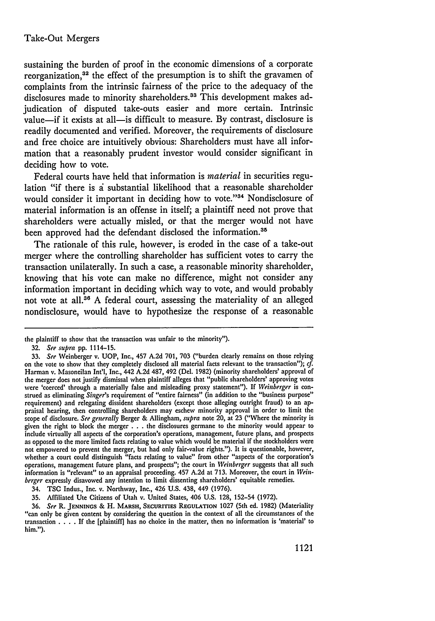## Take-Out Mergers

sustaining the burden of proof in the economic dimensions of a corporate reorganization,<sup>32</sup> the effect of the presumption is to shift the gravamen of complaints from the intrinsic fairness of the price to the adequacy of the disclosures made to minority shareholders.<sup>33</sup> This development makes adjudication of disputed take-outs easier and more certain. Intrinsic value-if it exists at all-is difficult to measure. By contrast, disclosure is readily documented and verified. Moreover, the requirements of disclosure and free choice are intuitively obvious: Shareholders must have all information that a reasonably prudent investor would consider significant in deciding how to vote.

Federal courts have held that information is *material* in securities regulation "if there is a substantial likelihood that a reasonable shareholder would consider it important in deciding how to vote."<sup>34</sup> Nondisclosure of material information is an offense in itself; a plaintiff need not prove that shareholders were actually misled, or that the merger would not have been approved had the defendant disclosed the information.<sup>35</sup>

The rationale of this rule, however, is eroded in the case of a take-out merger where the controlling shareholder has sufficient votes to carry the transaction unilaterally. In such a case, a reasonable minority shareholder, knowing that his vote can make no difference, might not consider any information important in deciding which way to vote, and would probably not vote at all.36 A federal court, assessing the materiality of an alleged nondisclosure, would have to hypothesize the response of a reasonable

35. Affiliated Ute Citizens of Utah v. United States, 406 U.S. 128, 152-54 (1972).<br>36. See R. JENNINGS & H. MARSH, SECURITIES REGULATION 1027 (5th ed. 1982) (Materiality "can only be given content by considering the question in the context of all the circumstances of the transaction . **. .** . If the [plaintiff] has no choice in the matter, then no information is 'material' to him.").

the plaintiff to show that the transaction was unfair to the minority").

<sup>32.</sup> *See supra* pp. 1114-15.

<sup>33.</sup> *See* Weinberger v. UOP, Inc., 457 A.2d 701, 703 ("burden clearly remains on those relying on the vote to show that they completely disclosed all material facts relevant to the transaction"); *cf.* Harman v. Masoneilan Int'l, Inc., 442 A.2d 487, 492 (Del. 1982) (minority shareholders' approval of the merger does not justify dismissal when plaintiff alleges that "public shareholders' approving votes were 'coerced' through a materially false and misleading proxy statement"). If *Weinberger* is construed as eliminating *Singer's* requirement of "entire fairness" (in addition to the "business purpose" requirement) and relegating dissident shareholders (except those alleging outright fraud) to an appraisal hearing, then controlling shareholders may eschew minority approval in order to limit the scope of disclosure. *See generally* Berger **&** Allingham, *supra* note 20, at 23 ("Where the minority is given the right to block the merger **. . .** the disclosures germane to the minority would appear to include virtually all aspects of the corporation's operations, management, future plans, and prospects as opposed to the more limited facts relating to value which would be material if the stockholders were not empowered to prevent the merger, but had only fair-value rights."). It is questionable, however, whether a court could distinguish "facts relating to value" from other "aspects of the corporation's operations, management future plans, and prospects"; the court in *Weinberger* suggests that all such information is "relevant" to an appraisal proceeding. 457 A.2d at 713. Moreover, the court in *Weinberger* expressly disavowed any intention to limit dissenting shareholders' equitable remedies.

<sup>34.</sup> TSC Indus., Inc. v. Northway, Inc., 426 U.S. 438, 449 (1976).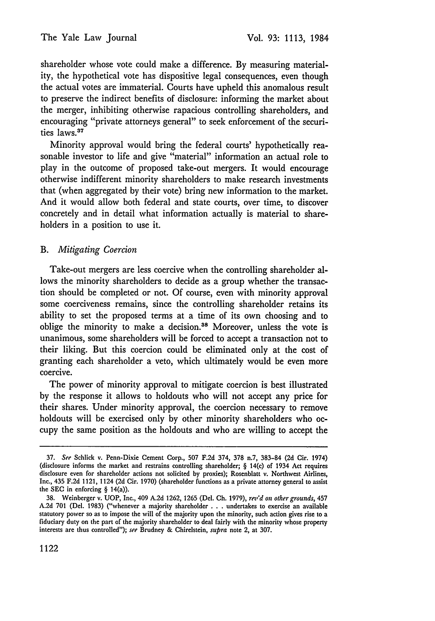shareholder whose vote could make a difference. By measuring materiality, the hypothetical vote has dispositive legal consequences, even though the actual votes are immaterial. Courts have upheld this anomalous result to preserve the indirect benefits of disclosure: informing the market about the merger, inhibiting otherwise rapacious controlling shareholders, and encouraging "private attorneys general" to seek enforcement of the securities laws.<sup>37</sup>

Minority approval would bring the federal courts' hypothetically reasonable investor to life and give "material" information an actual role to play in the outcome of proposed take-out mergers. It would encourage otherwise indifferent minority shareholders to make research investments that (when aggregated by their vote) bring new information to the market. And it would allow both federal and state courts, over time, to discover concretely and in detail what information actually is material to shareholders in a position to use it.

## *B. Mitigating Coercion*

Take-out mergers are less coercive when the controlling shareholder allows the minority shareholders to decide as a group whether the transaction should be completed or not. Of course, even with minority approval some coerciveness remains, since the controlling shareholder retains its ability to set the proposed terms at a time of its own choosing and to oblige the minority to make a decision.<sup>38</sup> Moreover, unless the vote is unanimous, some shareholders will be forced to accept a transaction not to their liking. But this coercion could be eliminated only at the cost of granting each shareholder a veto, which ultimately would be even more coercive.

The power of minority approval to mitigate coercion is best illustrated by the response it allows to holdouts who will not accept any price for their shares. Under minority approval, the coercion necessary to remove holdouts will be exercised only by other minority shareholders who occupy the same position as the holdouts and who are willing to accept the

<sup>37.</sup> *See* Schlick v. Penn-Dixie Cement Corp., 507 F.2d 374, 378 n.7, 383-84 (2d Cir. 1974) (disclosure informs the market and restrains controlling shareholder; § 14(c) of 1934 Act requires disclosure even for shareholder actions not solicited by proxies); Rosenblatt v. Northwest Airlines, Inc., 435 F.2d 1121, 1124 (2d Cir. 1970) (shareholder functions as a private attorney general to assist the SEC in enforcing § 14(a)).

<sup>38.</sup> Weinberger v. UOP, Inc., 409 A.2d 1262, 1265 (Del. Ch. 1979), *re,'d on other grounds,* 457 A.2d **701** (Del. 1983) ("whenever a majority shareholder . . . undertakes to exercise an available statutory power so as to impose the will of the majority upon the minority, such action gives rise to a fiduciary duty on the part of the majority shareholder to deal fairly with the minority whose property interests are thus controlled"); *see* Brudney & Chirelstein, *supra* note 2, at 307.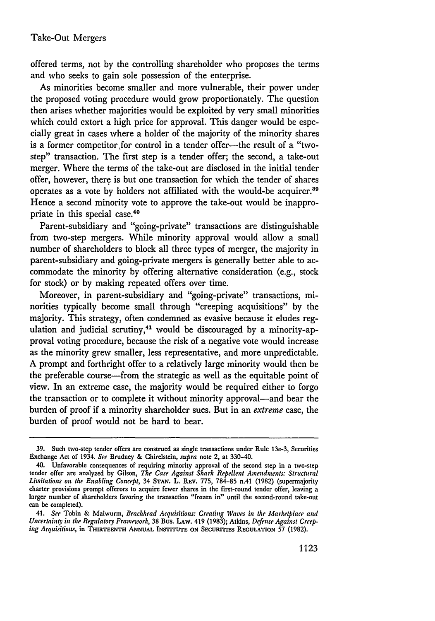offered terms, not by the controlling shareholder who proposes the terms and who seeks to gain sole possession of the enterprise.

As minorities become smaller and more vulnerable, their power under the proposed voting procedure would grow proportionately. The question then arises whether majorities would be exploited by very small minorities which could extort a high price for approval. This danger would be especially great in cases where a holder of the majority of the minority shares is a former competitor for control in a tender offer-the result of a "twostep" transaction. The first step is a tender offer; the second, a take-out merger. Where the terms of the take-out are disclosed in the initial tender offer, however, there is but one transaction for which the tender of shares operates as a vote by holders not affiliated with the would-be acquirer.<sup>39</sup> Hence a second minority vote to approve the take-out would be inappropriate in this special case.40

Parent-subsidiary and "going-private" transactions are distinguishable from two-step mergers. While minority approval would allow a small number of shareholders to block all three types of merger, the majority in parent-subsidiary and going-private mergers is generally better able to accommodate the minority by offering alternative consideration (e.g., stock for stock) or by making repeated offers over time.

Moreover, in parent-subsidiary and "going-private" transactions, minorities typically become small through "creeping acquisitions" by the majority. This strategy, often condemned as evasive because it eludes regulation and judicial scrutiny, $41$  would be discouraged by a minority-approval voting procedure, because the risk of a negative vote would increase as the minority grew smaller, less representative, and more unpredictable. A prompt and forthright offer to a relatively large minority would then be the preferable course-from the strategic as well as the equitable point of view. In an extreme case, the majority would be required either to forgo the transaction or to complete it without minority approval-and bear the burden of proof if a minority shareholder sues. But in an *extreme* case, the burden of proof would not be hard to bear.

**<sup>39.</sup>** Such two-step tender offers are construed as single transactions under Rule 13e-3, Securities Exchange Act of 1934. *See* Brudney & Chirelstein, *supra* note 2, at 330-40.

<sup>40.</sup> Unfavorable consequences of requiring minority approval of the second step in a two-step tender offer are analyzed by Gilson, *The Case Against Shark Repellent Amendments: Structural Limitations on the Enabling Concept,* 34 **STAN.** L. **REv. 775,** 784-85 n.41 (1982) (supermajority charter provisions prompt offerors to acquire fewer shares in the first-round tender offer, leaving a larger number of shareholders favoring the transaction "frozen in" until the second-round take-out can be completed).

<sup>41.</sup> *See* Tobin & Maiwurm, *Beachhead Acquisitions: Creating Wazes in the Marketplace and Uncertainty in the Regulatory Framework,* 38 Bus. LAW. 419 (1983); Atkins, *Defense Against Creeping Acquisitions,* in **THIRTEENTH ANNUAL INSTITUTE ON SECURITIES REGULATION** 57 (1982).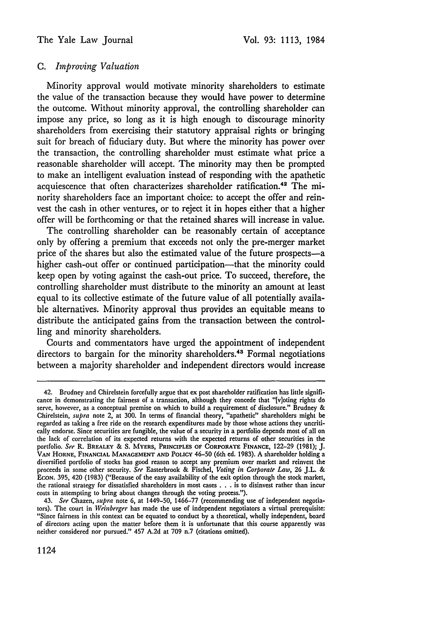## *C. Improving Valuation*

Minority approval would motivate minority shareholders to estimate the value of the transaction because they would have power to determine the outcome. Without minority approval, the controlling shareholder can impose any price, so long as it is high enough to discourage minority shareholders from exercising their statutory appraisal rights or bringing suit for breach of fiduciary duty. But where the minority has power over the transaction, the controlling shareholder must estimate what price a reasonable shareholder will accept. The minority may then be prompted to make an intelligent evaluation instead of responding with the apathetic acquiescence that often characterizes shareholder ratification.<sup>42</sup> The minority shareholders face an important choice: to accept the offer and reinvest the cash in other ventures, or to reject it in hopes either that a higher offer will be forthcoming or that the retained shares will increase in value.

The controlling shareholder can be reasonably certain of acceptance only **by** offering a premium that exceeds not only the pre-merger market price of the shares but also the estimated value of the future prospects-a higher cash-out offer or continued participation-that the minority could keep open **by** voting against the cash-out price. To succeed, therefore, the controlling shareholder must distribute to the minority an amount at least equal to its collective estimate of the future value of all potentially available alternatives. Minority approval thus provides an equitable means to distribute the anticipated gains from the transaction between the controlling and minority shareholders.

Courts and commentators have urged the appointment of independent directors to bargain for the minority shareholders.<sup>43</sup> Formal negotiations between a majority shareholder and independent directors would increase

<sup>42.</sup> Brudney and Chirelstein forcefully argue that ex post shareholder ratification has little significance in demonstrating the fairness of a transaction, although they concede that "[v]oting rights do serve, however, as a conceptual premise on which to build a requirement of disclosure." Brudney **&** Chirelstein, *supra* note 2, at **300.** In terms of financial theory, "apathetic" shareholders might be regarded as taking a free ride on the research expenditures made **by** those whose actions they uncritically endorse. Since securities are fungible, the value of a security in a portfolio depends most of all on the lack of correlation of its expected returns with the expected returns of other securities in the portfolio. *See* R. **BREALEY & S. MYERS, PRINCIPLES OF CORPORATE FINANCE, 122-29 (1981); J. VAN HORNE, FINANCIAL MANAGEMENT AND POLICY** 46-50 (6th **ed. 1983). A** shareholder holding a diversified portfolio of stocks has good reason to accept any premium over market and reinvest the proceeds in some other security. *See* Easterbrook **&** Fischel, *Voting in Corporate Law,* **26** J.L. **& ECON. 395,** 420 **(1983)** ("Because of the easy availability of the exit option through the stock market, the rational strategy for dissatisfied shareholders in most cases **. . .** is to disinvest rather than **incur** costs in attempting to bring about changes through the voting process."). 43. *See* Chazen, *supra* note **6,** at 1449-50, **1466-77** (recommending use of independent negotia-

tors). The court in *Weinberger* has made the use of independent negotiators a virtual prerequisite: "Since fairness in this context can be equated to conduct **by** a theoretical, wholly independent, board of directors acting upon the matter before them it is unfortunate that this course apparently was neither considered nor pursued." 457 **A.2d** at **709** n.7 (citations omitted).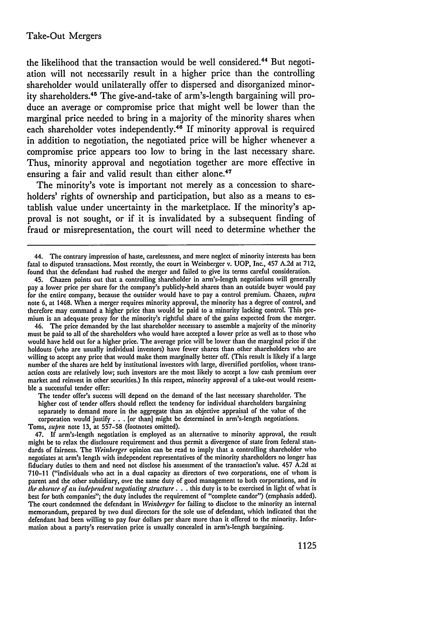the likelihood that the transaction would be well considered.<sup>44</sup> But negotiation will not necessarily result in a higher price than the controlling shareholder would unilaterally offer to dispersed and disorganized minority shareholders.45 The give-and-take of arm's-length bargaining will produce an average or compromise price that might well be lower than the marginal price needed to bring in a majority of the minority shares when each shareholder votes independently.<sup>46</sup> If minority approval is required in addition to negotiation, the negotiated price will be higher whenever a compromise price appears too low to bring in the last necessary share. Thus, minority approval and negotiation together are more effective in ensuring a fair and valid result than either alone.<sup>47</sup>

The minority's vote is important not merely as a concession to shareholders' rights of ownership and participation, but also as a means to establish value under uncertainty in the marketplace. If the minority's approval is not sought, or if it is invalidated by a subsequent finding of fraud or misrepresentation, the court will need to determine whether the

The tender offer's success will depend on the demand of the last necessary shareholder. The higher cost of tender offers should reflect the tendency for individual shareholders bargaining separately to demand more in the aggregate than an objective appraisal of the value of the corporation would justify **. .** . [or than] might be determined in arm's-length negotiations.

Toms, *supra* note 13, at 557-58 (footnotes omitted).

47. If arm's-length negotiation is employed as an alternative to minority approval, the result might be to relax the disclosure requirement and thus permit a divergence of state from federal standards of fairness. The *Weinberger* opinion can be read to imply that a controlling shareholder who negotiates at arm's length with independent representatives of the minority shareholders no longer has fiduciary duties to them and need not disclose his assessment of the transaction's value. 457 A.2d at 710-11 ("individuals who act in a dual capacity as directors of two corporations, one of whom is parent and the other subsidiary, owe the same duty of good management to both corporations, and *in the absence of an independent negotiating structure.* **. .** this duty is to be exercised in light of what is best for both companies"; the duty includes the requirement of "complete candor") (emphasis added). The court condemned the defendant in *Weinberger* for failing to disclose to the minority an internal memorandum, prepared by two dual directors for the sole use of defendant, which indicated that the defendant had been willing to pay four dollars per share more than it offered to the minority. Information about a party's reservation price is usually concealed in arm's-length bargaining.

<sup>44.</sup> The contrary impression of haste, carelessness, and mere neglect of minority interests has been fatal to disputed transactions. Most recently, the court in Weinberger v. UOP, Inc., 457 A.2d at 712, found that the defendant had rushed the merger and failed to give its terms careful consideration.

<sup>45.</sup> Chazen points out that a controlling shareholder in arm's-length negotiations will generally pay a lower price per share for the company's publicly-held shares than an outside buyer would pay for the entire company, because the outsider would have to pay a control premium. Chazen, *supra* note 6, at 1468. When a merger requires minority approval, the minority has a degree of control, and therefore may command a higher price than would be paid to a minority lacking control. This premium is an adequate proxy for the minority's rightful share of the gains expected from the merger.

<sup>46.</sup> The price demanded by the last shareholder necessary to assemble a majority of the minority must be paid to all of the shareholders who would have accepted a lower price as well as to those who would have held out for a higher price. The average price will be lower than the marginal price if the holdouts (who are usually individual investors) have fewer shares than other shareholders who are willing to accept any price that would make them marginally better off. (This result is likely if a large number of the shares are held by institutional investors with large, diversified portfolios, whose transaction costs are relatively low; such investors are the most likely to accept a low cash premium over market and reinvest in other securities.) In this respect, minority approval of a take-out would resemble a successful tender offer: